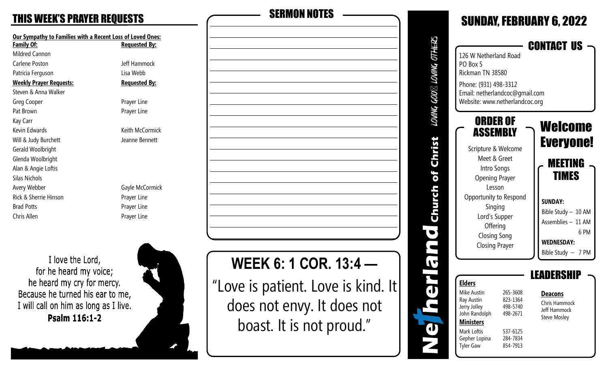### **THIS WEEK'S PRAYER REQUESTS**

| <b>Our Sympathy to Families with a Recent Loss of Loved Ones:</b> |                      |  |
|-------------------------------------------------------------------|----------------------|--|
| <b>Family Of:</b>                                                 | <b>Requested By:</b> |  |
| Mildred Cannon                                                    |                      |  |
| Carlene Poston                                                    | Jeff Hammock         |  |
| Patricia Ferguson                                                 | Lisa Webb            |  |
| <b>Weekly Prayer Requests:</b>                                    | <b>Requested By:</b> |  |
| Steven & Anna Walker                                              |                      |  |
| Greg Cooper                                                       | Prayer Line          |  |
| Pat Brown                                                         | Prayer Line          |  |
| Kay Carr                                                          |                      |  |
| Kevin Edwards                                                     | Keith McCormick      |  |
| Will & Judy Burchett                                              | Jeanne Bennett       |  |
| Gerald Woolbright                                                 |                      |  |
| Glenda Woolbright                                                 |                      |  |
| Alan & Angie Loftis                                               |                      |  |
| Silas Nichols                                                     |                      |  |
| Avery Webber                                                      | Gayle McCormick      |  |
| Rick & Sherrie Hinson                                             | Prayer Line          |  |
| <b>Brad Potts</b>                                                 | Prayer Line          |  |
| Chris Allen                                                       | Prayer Line          |  |
|                                                                   |                      |  |

I love the Lord, for he heard my voice; he heard my cry for mercy. Because he turned his ear to me, I will call on him as long as I live. Psalm 116:1-2



| <b>SERMON NOTES</b> |  |  |
|---------------------|--|--|
|                     |  |  |
|                     |  |  |
|                     |  |  |
|                     |  |  |
|                     |  |  |
|                     |  |  |
|                     |  |  |
|                     |  |  |
|                     |  |  |
|                     |  |  |
|                     |  |  |
|                     |  |  |
|                     |  |  |
|                     |  |  |
|                     |  |  |

# **WEEK 6: 1 COR. 13:4 —**

"Love is patient. Love is kind. It does not envy. It does not boast. It is not proud."